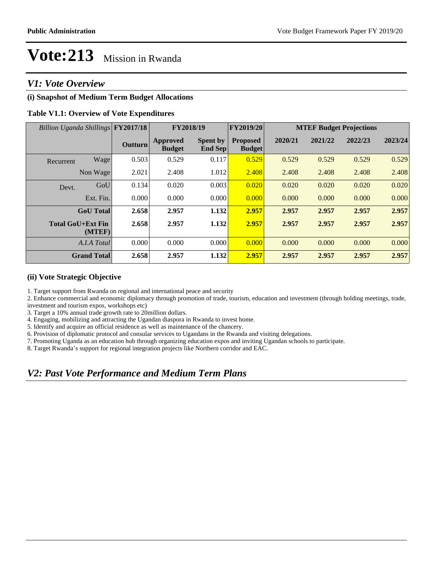## *V1: Vote Overview*

### **(i) Snapshot of Medium Term Budget Allocations**

### **Table V1.1: Overview of Vote Expenditures**

| Billion Uganda Shillings FY2017/18 |                    |                | FY2018/19                        |                                   | <b>FY2019/20</b>                 | <b>MTEF Budget Projections</b> |         |         |         |  |
|------------------------------------|--------------------|----------------|----------------------------------|-----------------------------------|----------------------------------|--------------------------------|---------|---------|---------|--|
|                                    |                    | <b>Outturn</b> | <b>Approved</b><br><b>Budget</b> | <b>Spent by</b><br><b>End Sep</b> | <b>Proposed</b><br><b>Budget</b> | 2020/21                        | 2021/22 | 2022/23 | 2023/24 |  |
| Recurrent                          | Wage               | 0.503          | 0.529                            | 0.117                             | 0.529                            | 0.529                          | 0.529   | 0.529   | 0.529   |  |
|                                    | Non Wage           | 2.021          | 2.408                            | 1.012                             | 2.408                            | 2.408                          | 2.408   | 2.408   | 2.408   |  |
| Devt.                              | GoU                | 0.134          | 0.020                            | 0.003                             | 0.020                            | 0.020                          | 0.020   | 0.020   | 0.020   |  |
|                                    | Ext. Fin.          | 0.000          | 0.000                            | 0.000                             | 0.000                            | 0.000                          | 0.000   | 0.000   | 0.000   |  |
|                                    | <b>GoU</b> Total   | 2.658          | 2.957                            | 1.132                             | 2.957                            | 2.957                          | 2.957   | 2.957   | 2.957   |  |
| <b>Total GoU+Ext Fin</b>           | (MTEF)             | 2.658          | 2.957                            | 1.132                             | 2.957                            | 2.957                          | 2.957   | 2.957   | 2.957   |  |
|                                    | A.I.A Total        | 0.000          | 0.000                            | 0.000                             | 0.000                            | 0.000                          | 0.000   | 0.000   | 0.000   |  |
|                                    | <b>Grand Total</b> | 2.658          | 2.957                            | 1.132                             | 2.957                            | 2.957                          | 2.957   | 2.957   | 2.957   |  |

#### **(ii) Vote Strategic Objective**

1. Target support from Rwanda on regional and international peace and security

2. Enhance commercial and economic diplomacy through promotion of trade, tourism, education and investment (through holding meetings, trade, investment and tourism expos, workshops etc)

3. Target a 10% annual trade growth rate to 20million dollars.

4. Engaging, mobilizing and attracting the Ugandan diaspora in Rwanda to invest home.

5. Identify and acquire an official residence as well as maintenance of the chancery.

6. Provision of diplomatic protocol and consular services to Ugandans in the Rwanda and visiting delegations.

7. Promoting Uganda as an education hub through organizing education expos and inviting Ugandan schools to participate.

8. Target Rwanda's support for regional integration projects like Northern corridor and EAC.

## *V2: Past Vote Performance and Medium Term Plans*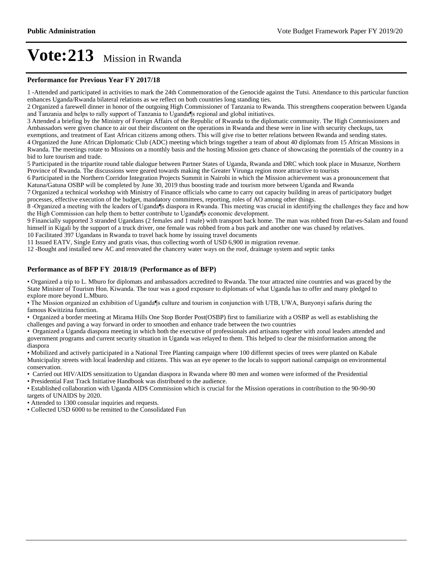#### **Performance for Previous Year FY 2017/18**

1 -Attended and participated in activities to mark the 24th Commemoration of the Genocide against the Tutsi. Attendance to this particular function enhances Uganda/Rwanda bilateral relations as we reflect on both countries long standing ties.

2 Organized a farewell dinner in honor of the outgoing High Commissioner of Tanzania to Rwanda. This strengthens cooperation between Uganda and Tanzania and helps to rally support of Tanzania to Uganda¶s regional and global initiatives.

3 Attended a briefing by the Ministry of Foreign Affairs of the Republic of Rwanda to the diplomatic community. The High Commissioners and Ambassadors were given chance to air out their discontent on the operations in Rwanda and these were in line with security checkups, tax

exemptions, and treatment of East African citizens among others. This will give rise to better relations between Rwanda and sending states. 4 Organized the June African Diplomatic Club (ADC) meeting which brings together a team of about 40 diplomats from 15 African Missions in Rwanda. The meetings rotate to Missions on a monthly basis and the hosting Mission gets chance of showcasing the potentials of the country in a bid to lure tourism and trade.

5 Participated in the tripartite round table dialogue between Partner States of Uganda, Rwanda and DRC which took place in Musanze, Northern Province of Rwanda. The discussions were geared towards making the Greater Virunga region more attractive to tourists

6 Participated in the Northern Corridor Integration Projects Summit in Nairobi in which the Mission achievement was a pronouncement that Katuna/Gatuna OSBP will be completed by June 30, 2019 thus boosting trade and tourism more between Uganda and Rwanda

7 Organized a technical workshop with Ministry of Finance officials who came to carry out capacity building in areas of participatory budget processes, effective execution of the budget, mandatory committees, reporting, roles of AO among other things.

8-Organized a meeting with the leaders of Uganda¶s diaspora in Rwanda. This meeting was crucial in identifying the challenges they face and how the High Commission can help them to better contribute to Uganda<sup>¶</sup>s economic development.

9 Financially supported 3 stranded Ugandans (2 females and 1 male) with transport back home. The man was robbed from Dar-es-Salam and found himself in Kigali by the support of a truck driver, one female was robbed from a bus park and another one was chased by relatives.

10 Facilitated 397 Ugandans in Rwanda to travel back home by issuing travel documents

11 Issued EATV, Single Entry and gratis visas, thus collecting worth of USD 6,900 in migration revenue.

12 -Bought and installed new AC and renovated the chancery water ways on the roof, drainage system and septic tanks

#### **Performance as of BFP FY 2018/19 (Performance as of BFP)**

Organized a trip to L. Mburo for diplomats and ambassadors accredited to Rwanda. The tour attracted nine countries and was graced by the State Minister of Tourism Hon. Kiwanda. The tour was a good exposure to diplomats of what Uganda has to offer and many pledged to explore more beyond L.Mburo.

• The Mission organized an exhibition of Uganda¶s culture and tourism in conjunction with UTB, UWA, Bunyonyi safaris during the famous Kwitizina function.

Organized a border meeting at Mirama Hills One Stop Border Post(OSBP) first to familiarize with a OSBP as well as establishing the challenges and paving a way forward in order to smoothen and enhance trade between the two countries

Organized a Uganda diaspora meeting in which both the executive of professionals and artisans together with zonal leaders attended and government programs and current security situation in Uganda was relayed to them. This helped to clear the misinformation among the diaspora

Mobilized and actively participated in a National Tree Planting campaign where 100 different species of trees were planted on Kabale Municipality streets with local leadership and citizens. This was an eye opener to the locals to support national campaign on environmental conservation.

Carried out HIV/AIDS sensitization to Ugandan diaspora in Rwanda where 80 men and women were informed of the Presidential

Presidential Fast Track Initiative Handbook was distributed to the audience.

Established collaboration with Uganda AIDS Commission which is crucial for the Mission operations in contribution to the 90-90-90 targets of UNAIDS by 2020.

Attended to 1300 consular inquiries and requests.

Collected USD 6000 to be remitted to the Consolidated Fun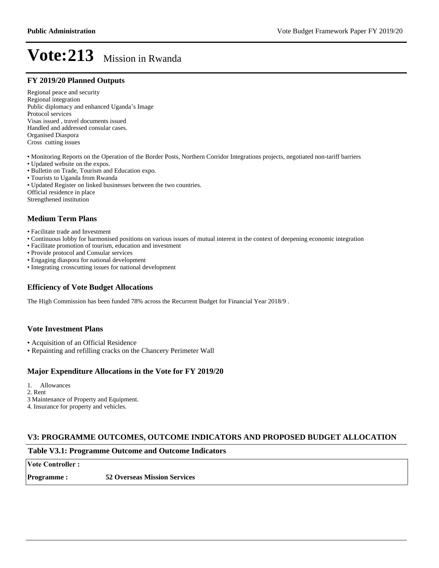#### **FY 2019/20 Planned Outputs**

Regional peace and security Regional integration Public diplomacy and enhanced Uganda's Image Protocol services Visas issued , travel documents issued Handled and addressed consular cases. Organised Diaspora Cross cutting issues

- Monitoring Reports on the Operation of the Border Posts, Northern Corridor Integrations projects, negotiated non-tariff barriers
- Updated website on the expos.
- Bulletin on Trade, Tourism and Education expo.
- Tourists to Uganda from Rwanda
- Updated Register on linked businesses between the two countries.

Official residence in place

Strengthened institution

### **Medium Term Plans**

- Facilitate trade and Investment
- Continuous lobby for harmonised positions on various issues of mutual interest in the context of deepening economic integration
- Facilitate promotion of tourism, education and investment
- Provide protocol and Consular services
- Engaging diaspora for national development
- Integrating crosscutting issues for national development

#### **Efficiency of Vote Budget Allocations**

The High Commission has been funded 78% across the Recurrent Budget for Financial Year 2018/9 .

#### **Vote Investment Plans**

- Acquisition of an Official Residence
- Repainting and refilling cracks on the Chancery Perimeter Wall

#### **Major Expenditure Allocations in the Vote for FY 2019/20**

1. Allowances

2. Rent

3 Maintenance of Property and Equipment.

4. Insurance for property and vehicles.

#### **V3: PROGRAMME OUTCOMES, OUTCOME INDICATORS AND PROPOSED BUDGET ALLOCATION**

#### **Table V3.1: Programme Outcome and Outcome Indicators**

**Vote Controller:** 

**Programme : 52 Overseas Mission Services**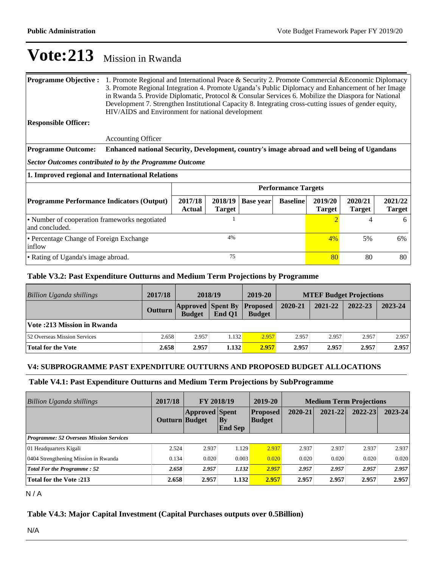| <b>Programme Objective:</b><br><b>Responsible Officer:</b>      | 1. Promote Regional and International Peace & Security 2. Promote Commercial & Economic Diplomacy<br>3. Promote Regional Integration 4. Promote Uganda's Public Diplomacy and Enhancement of her Image<br>in Rwanda 5. Provide Diplomatic, Protocol & Consular Services 6. Mobilize the Diaspora for National<br>Development 7. Strengthen Institutional Capacity 8. Integrating cross-cutting issues of gender equity,<br>HIV/AIDS and Environment for national development |                          |                          |                  |                 |                          |                          |                          |
|-----------------------------------------------------------------|------------------------------------------------------------------------------------------------------------------------------------------------------------------------------------------------------------------------------------------------------------------------------------------------------------------------------------------------------------------------------------------------------------------------------------------------------------------------------|--------------------------|--------------------------|------------------|-----------------|--------------------------|--------------------------|--------------------------|
|                                                                 |                                                                                                                                                                                                                                                                                                                                                                                                                                                                              |                          |                          |                  |                 |                          |                          |                          |
|                                                                 | <b>Accounting Officer</b>                                                                                                                                                                                                                                                                                                                                                                                                                                                    |                          |                          |                  |                 |                          |                          |                          |
| <b>Programme Outcome:</b>                                       | Enhanced national Security, Development, country's image abroad and well being of Ugandans                                                                                                                                                                                                                                                                                                                                                                                   |                          |                          |                  |                 |                          |                          |                          |
|                                                                 | Sector Outcomes contributed to by the Programme Outcome                                                                                                                                                                                                                                                                                                                                                                                                                      |                          |                          |                  |                 |                          |                          |                          |
| 1. Improved regional and International Relations                |                                                                                                                                                                                                                                                                                                                                                                                                                                                                              |                          |                          |                  |                 |                          |                          |                          |
|                                                                 | <b>Performance Targets</b>                                                                                                                                                                                                                                                                                                                                                                                                                                                   |                          |                          |                  |                 |                          |                          |                          |
| <b>Programme Performance Indicators (Output)</b>                |                                                                                                                                                                                                                                                                                                                                                                                                                                                                              | 2017/18<br><b>Actual</b> | 2018/19<br><b>Target</b> | <b>Base year</b> | <b>Baseline</b> | 2019/20<br><b>Target</b> | 2020/21<br><b>Target</b> | 2021/22<br><b>Target</b> |
| • Number of cooperation frameworks negotiated<br>and concluded. |                                                                                                                                                                                                                                                                                                                                                                                                                                                                              |                          |                          |                  | 2               |                          | 6                        |                          |
| • Percentage Change of Foreign Exchange<br>inflow               |                                                                                                                                                                                                                                                                                                                                                                                                                                                                              | 4%                       |                          |                  |                 | $4\%$                    | 5%                       | 6%                       |
| • Rating of Uganda's image abroad.                              |                                                                                                                                                                                                                                                                                                                                                                                                                                                                              | 75                       |                          |                  |                 | 80                       | 80                       | 80                       |

## **Table V3.2: Past Expenditure Outturns and Medium Term Projections by Programme**

| Billion Uganda shillings          | 2017/18        | 2018/19                                   |        | 2019-20                          | <b>MTEF Budget Projections</b> |         |         |         |
|-----------------------------------|----------------|-------------------------------------------|--------|----------------------------------|--------------------------------|---------|---------|---------|
|                                   | <b>Outturn</b> | <b>Approved Spent By</b><br><b>Budget</b> | End O1 | <b>Proposed</b><br><b>Budget</b> | 2020-21                        | 2021-22 | 2022-23 | 2023-24 |
| <b>Vote:213 Mission in Rwanda</b> |                |                                           |        |                                  |                                |         |         |         |
| 52 Overseas Mission Services      | 2.658          | 2.957                                     | 1.132  | 2.957                            | 2.957                          | 2.957   | 2.957   | 2.957   |
| <b>Total for the Vote</b>         | 2.658          | 2.957                                     | 1.132  | 2.957                            | 2.957                          | 2.957   | 2.957   | 2.957   |

## **V4: SUBPROGRAMME PAST EXPENDITURE OUTTURNS AND PROPOSED BUDGET ALLOCATIONS**

### **Table V4.1: Past Expenditure Outturns and Medium Term Projections by SubProgramme**

| 2017/18<br><b>FY 2018/19</b><br>Billion Uganda shillings |                       | 2019-20               | <b>Medium Term Projections</b> |                                  |         |             |             |             |
|----------------------------------------------------------|-----------------------|-----------------------|--------------------------------|----------------------------------|---------|-------------|-------------|-------------|
|                                                          | <b>Outturn Budget</b> | <b>Approved Spent</b> | $ $ By<br><b>End Sep</b>       | <b>Proposed</b><br><b>Budget</b> | 2020-21 | $2021 - 22$ | $2022 - 23$ | $2023 - 24$ |
| <b>Programme: 52 Overseas Mission Services</b>           |                       |                       |                                |                                  |         |             |             |             |
| 01 Headquarters Kigali                                   | 2.524                 | 2.937                 | 1.129                          | 2.937                            | 2.937   | 2.937       | 2.937       | 2.937       |
| 0404 Strengthening Mission in Rwanda                     | 0.134                 | 0.020                 | 0.003                          | 0.020                            | 0.020   | 0.020       | 0.020       | 0.020       |
| <b>Total For the Programme: 52</b>                       | 2.658                 | 2.957                 | 1.132                          | 2.957                            | 2.957   | 2.957       | 2.957       | 2.957       |
| <b>Total for the Vote:213</b>                            | 2.658                 | 2.957                 | 1.132                          | 2.957                            | 2.957   | 2.957       | 2.957       | 2.957       |

N / A

## **Table V4.3: Major Capital Investment (Capital Purchases outputs over 0.5Billion)**